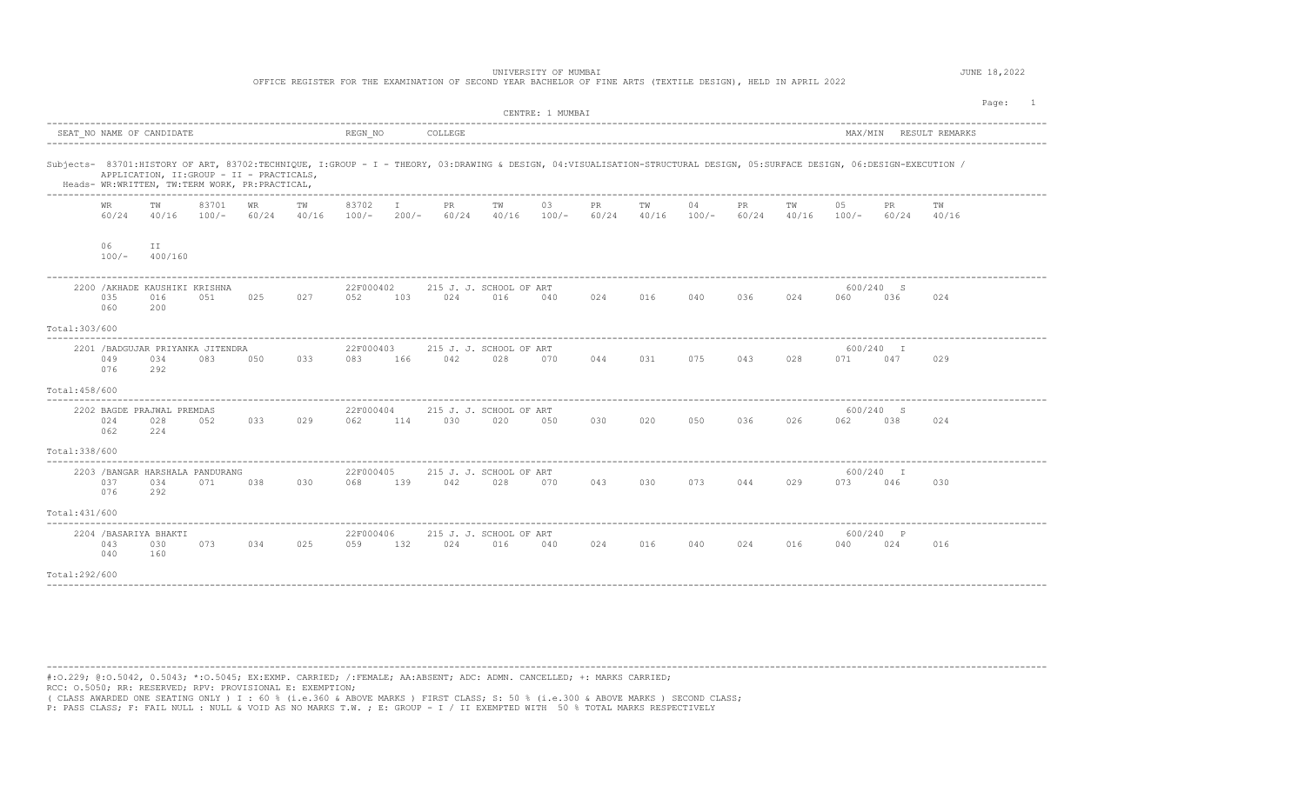|                |                                                                                                                                                                                                                                                                                                               |                                                 |                  |                    |     |                          |                         | OFFICE REGISTER FOR THE EXAMINATION OF SECOND YEAR BACHELOR OF FINE ARTS (TEXTILE DESIGN), HELD IN APRIL 2022 |             | UNIVERSITY OF MUMBAI |             |             |               |              |     |                       |                  |                        | JUNE 18,2022 |
|----------------|---------------------------------------------------------------------------------------------------------------------------------------------------------------------------------------------------------------------------------------------------------------------------------------------------------------|-------------------------------------------------|------------------|--------------------|-----|--------------------------|-------------------------|---------------------------------------------------------------------------------------------------------------|-------------|----------------------|-------------|-------------|---------------|--------------|-----|-----------------------|------------------|------------------------|--------------|
|                |                                                                                                                                                                                                                                                                                                               |                                                 |                  |                    |     |                          |                         |                                                                                                               |             | CENTRE: 1 MUMBAI     |             |             |               |              |     |                       |                  |                        | Page: 1      |
|                |                                                                                                                                                                                                                                                                                                               | SEAT NO NAME OF CANDIDATE                       |                  |                    |     | REGN NO                  |                         | COLLEGE                                                                                                       |             |                      |             |             |               |              |     |                       |                  | MAX/MIN RESULT REMARKS |              |
|                | Subjects- 83701:HISTORY OF ART, 83702:TECHNIQUE, I:GROUP - I - THEORY, 03:DRAWING & DESIGN, 04:VISUALISATION-STRUCTURAL DESIGN, 05:SURFACE DESIGN, 06:DESIGN-EXECUTION /<br>APPLICATION, II: GROUP - II - PRACTICALS,<br>Heads- WR:WRITTEN, TW:TERM WORK, PR:PRACTICAL,<br>---------------------------------- |                                                 |                  |                    |     |                          |                         |                                                                                                               |             |                      |             |             |               |              |     |                       |                  |                        |              |
|                | WR<br>60/24                                                                                                                                                                                                                                                                                                   | TW<br>40/16                                     | 83701<br>$100/-$ | <b>WR</b><br>60/24 | TW  | 83702<br>$40/16$ $100/-$ | $\mathbb{I}$<br>$200/-$ | PR<br>60/24                                                                                                   | TW<br>40/16 | 03<br>$100/-$        | PR<br>60/24 | TW<br>40/16 | 04<br>$100/-$ | PR.<br>60/24 | TW  | 05<br>$40/16$ $100/-$ | PR<br>60/24      | TW<br>40/16            |              |
|                | 06<br>$100/-$                                                                                                                                                                                                                                                                                                 | ΙI<br>400/160                                   |                  |                    |     |                          |                         |                                                                                                               |             |                      |             |             |               |              |     |                       |                  |                        |              |
|                | 035<br>060                                                                                                                                                                                                                                                                                                    | 2200 / AKHADE KAUSHIKI KRISHNA<br>016<br>200    | 051              | 025                | 027 | 22F000402<br>052         | 103                     | 215 J. J. SCHOOL OF ART<br>024                                                                                | 016         | 040                  | 024         | 016         | 040           | 036          | 024 | 060                   | 600/240 S<br>036 | 024                    |              |
| Total: 303/600 |                                                                                                                                                                                                                                                                                                               |                                                 |                  |                    |     |                          |                         |                                                                                                               |             |                      |             |             |               |              |     |                       |                  |                        |              |
|                | 049<br>076                                                                                                                                                                                                                                                                                                    | 2201 / BADGUJAR PRIYANKA JITENDRA<br>034<br>292 | 083              | 050                | 033 | 22F000403<br>083         | 166                     | 215 J. J. SCHOOL OF ART<br>042                                                                                | 028         | 070                  | 044         | 031         | 075           | 043          | 028 | 071 047               | 600/240 I        | 029                    |              |
| Total: 458/600 |                                                                                                                                                                                                                                                                                                               |                                                 |                  |                    |     |                          |                         |                                                                                                               |             |                      |             |             |               |              |     |                       |                  |                        |              |
|                | 024<br>062                                                                                                                                                                                                                                                                                                    | 2202 BAGDE PRAJWAL PREMDAS<br>028<br>224        | 052              | 033                | 029 | 22F000404<br>062         | 114                     | 215 J. J. SCHOOL OF ART<br>030                                                                                | 020         | 050                  | 030         | 020         | 050           | 036          | 026 | 062                   | 600/240 S<br>038 | 024                    |              |
| Total: 338/600 |                                                                                                                                                                                                                                                                                                               |                                                 |                  |                    |     |                          |                         |                                                                                                               |             |                      |             |             |               |              |     |                       |                  |                        |              |
|                | 037<br>076                                                                                                                                                                                                                                                                                                    | 2203 / BANGAR HARSHALA PANDURANG<br>034<br>292  | 071              | 038                | 030 | 22F000405<br>068         | 139                     | 215 J. J. SCHOOL OF ART<br>042                                                                                | 028         | 070                  | 043         | 030         | 073           | 044          | 029 | 073                   | 600/240 I<br>046 | 030                    |              |
| Total: 431/600 |                                                                                                                                                                                                                                                                                                               | -------------------------------------           |                  |                    |     |                          |                         |                                                                                                               |             |                      |             |             |               |              |     |                       |                  |                        |              |
|                | 043<br>040                                                                                                                                                                                                                                                                                                    | 2204 / BASARIYA BHAKTI<br>030<br>160            | 073              | 034                | 025 | 22F000406<br>059         | 132                     | 215 J. J. SCHOOL OF ART<br>024                                                                                | 016         | 040                  | 024         | 016         | 040           | 024          | 016 | 040                   | 600/240 P<br>024 | 016                    |              |
| Total:292/600  |                                                                                                                                                                                                                                                                                                               |                                                 |                  |                    |     |                          |                         |                                                                                                               |             |                      |             |             |               |              |     |                       |                  |                        |              |

---------------------------------------------------------------------------------------------------------------------------------------------------------------------------------------- #:O.229; @:O.5042, 0.5043; \*:O.5045; EX:EXMP. CARRIED; /:FEMALE; AA:ABSENT; ADC: ADMN. CANCELLED; +: MARKS CARRIED;

RCC: O.5050; RR: RESERVED; RPV: PROVISIONAL E: EXEMPTION;

( CLASS AWARDED ONE SEATING ONLY ) I : 60 % (i.e.360 & ABOVE MARKS ) FIRST CLASS; S: 50 % (i.e.300 & ABOVE MARKS ) SECOND CLASS;

P: PASS CLASS; F: FAIL NULL : NULL & VOID AS NO MARKS T.W. ; E: GROUP - I / II EXEMPTED WITH 50 % TOTAL MARKS RESPECTIVELY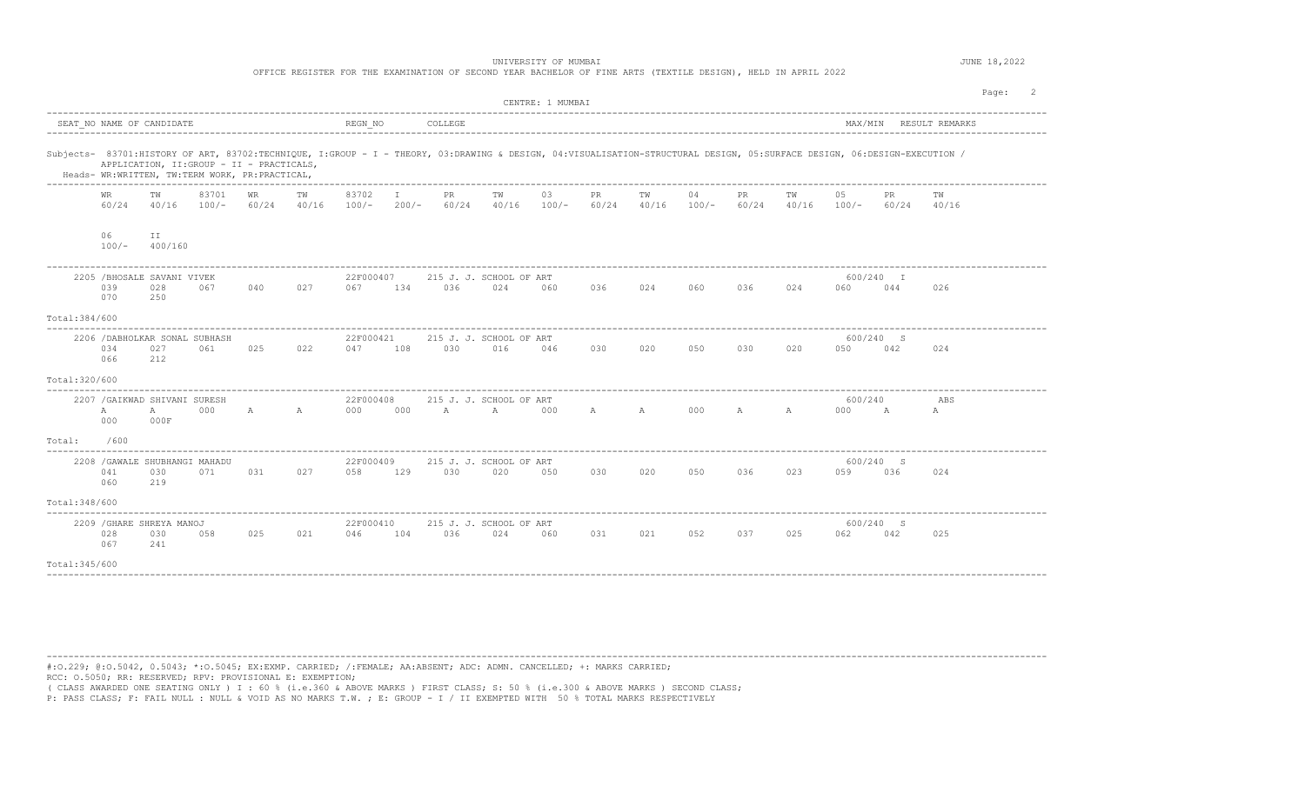UNIVERSITY OF MUMBAI **JUNE 18,2022** 

|                |               |                                                      |                                                                                             |     |     |                          |              |         | OFFICE REGISTER FOR THE EXAMINATION OF SECOND YEAR BACHELOR OF FINE ARTS (TEXTILE DESIGN), HELD IN APRIL 2022                                                            |                  |             |                 |       |             |     |                                    |                  |                        |         |  |
|----------------|---------------|------------------------------------------------------|---------------------------------------------------------------------------------------------|-----|-----|--------------------------|--------------|---------|--------------------------------------------------------------------------------------------------------------------------------------------------------------------------|------------------|-------------|-----------------|-------|-------------|-----|------------------------------------|------------------|------------------------|---------|--|
|                |               |                                                      |                                                                                             |     |     |                          |              |         |                                                                                                                                                                          | CENTRE: 1 MUMBAI |             |                 |       |             |     |                                    |                  |                        | Page: 2 |  |
|                |               | SEAT NO NAME OF CANDIDATE                            |                                                                                             |     |     |                          |              |         |                                                                                                                                                                          |                  |             |                 |       |             |     |                                    |                  | MAX/MIN RESULT REMARKS |         |  |
|                |               |                                                      | APPLICATION, II: GROUP - II - PRACTICALS,<br>Heads- WR:WRITTEN, TW:TERM WORK, PR:PRACTICAL, |     |     |                          |              |         | Subjects- 83701:HISTORY OF ART, 83702:TECHNIQUE, I:GROUP - I - THEORY, 03:DRAWING & DESIGN, 04:VISUALISATION-STRUCTURAL DESIGN, 05:SURFACE DESIGN, 06:DESIGN-EXECUTION / |                  |             |                 |       |             |     |                                    |                  |                        |         |  |
|                | WR            | TW                                                   | 83701<br>$60/24$ $40/16$ $100/ 60/24$ $40/16$                                               | WR  | TW  | 83702                    | $\mathbb{I}$ | PR      | TW<br>$100/-$ 200/- 60/24 40/16 100/- 60/24 40/16 100/-                                                                                                                  | 03               | PR          | ТW              | 04    | PR          | TW  | 05<br>$60/24$ $40/16$ $100/ 60/24$ | PR.              | 40/16                  |         |  |
|                | 06<br>$100/-$ | ΙI<br>400/160                                        |                                                                                             |     |     |                          |              |         |                                                                                                                                                                          |                  |             |                 |       |             |     |                                    |                  |                        |         |  |
|                | 039<br>070    | 2205 / BHOSALE SAVANI VIVEK<br>028<br>250            | 067                                                                                         | 040 | 027 | 22F000407<br>067         | 134          | 036     | 215 J. J. SCHOOL OF ART<br>024                                                                                                                                           | 060              | 036         | 024             | 060 0 | 036         | 024 | 060                                | 600/240 I<br>044 | 026                    |         |  |
| Total: 384/600 |               |                                                      |                                                                                             |     |     |                          |              |         |                                                                                                                                                                          |                  |             |                 |       |             |     |                                    |                  |                        |         |  |
|                | 034<br>066    | 2206 / DABHOLKAR SONAL SUBHASH<br>027<br>212         | 061                                                                                         | 025 | 022 | 22F000421<br>047 108     |              | 030     | 215 J. J. SCHOOL OF ART<br>016                                                                                                                                           | 046              | 030         | 020             |       | 050 030 020 |     | 600/240 S<br>050 042               |                  | 024                    |         |  |
| Total: 320/600 |               |                                                      |                                                                                             |     |     |                          |              |         |                                                                                                                                                                          |                  |             |                 |       |             |     |                                    |                  |                        |         |  |
|                | A<br>000      | 2207 / GAIKWAD SHIVANI SURESH<br>$\mathbb A$<br>000F | 000                                                                                         |     |     | 22F000408                |              |         | 215 J. J. SCHOOL OF ART<br>A A 000 000 A A 000                                                                                                                           |                  | A A 000 A A |                 |       |             |     | 600/240<br>000 A                   |                  | ABS<br>А               |         |  |
| Total:         | /600          |                                                      |                                                                                             |     |     |                          |              |         |                                                                                                                                                                          |                  |             |                 |       |             |     |                                    |                  |                        |         |  |
|                | 041<br>060    | 2208 / GAWALE SHUBHANGI MAHADU<br>030<br>219         | 071                                                                                         | 031 |     | 22F000409<br>027 058 129 |              | 030 020 | 215 J. J. SCHOOL OF ART                                                                                                                                                  | 050              | 030         | 020 050 036 023 |       |             |     | 600/240 S<br>059 036               |                  | 024                    |         |  |
| Total: 348/600 |               |                                                      |                                                                                             |     |     |                          |              |         |                                                                                                                                                                          |                  |             |                 |       |             |     |                                    |                  |                        |         |  |
|                | 028<br>067    | 2209 / GHARE SHREYA MANOJ<br>030<br>241              | 058                                                                                         | 025 | 021 | 22F000410<br>046         | 104          | 036     | 215 J. J. SCHOOL OF ART<br>024                                                                                                                                           | 060              | 031         | 021             | 052   | 037         | 025 | 062                                | 600/240 S<br>042 | 025                    |         |  |
| Total: 345/600 |               |                                                      |                                                                                             |     |     |                          |              |         |                                                                                                                                                                          |                  |             |                 |       |             |     |                                    |                  |                        |         |  |
|                |               |                                                      |                                                                                             |     |     |                          |              |         |                                                                                                                                                                          |                  |             |                 |       |             |     |                                    |                  |                        |         |  |

----------------------------------------------------------------------------------------------------------------------------------------------------------------------------------------

#:O.229; @:O.5042, 0.5043; \*:O.5045; EX:EXMP. CARRIED; /:FEMALE; AA:ABSENT; ADC: ADMN. CANCELLED; +: MARKS CARRIED; RCC: O.5050; RR: RESERVED; RPV: PROVISIONAL E: EXEMPTION;

( CLASS AWARDED ONE SEATING ONLY ) I : 60 % (i.e.360 & ABOVE MARKS ) FIRST CLASS; S: 50 % (i.e.300 & ABOVE MARKS ) SECOND CLASS;<br>P: PASS CLASS; F: FAIL NULL : NULL & VOID AS NO MARKS T.W. ; E: GROUP - I / II EXEMPTED WITH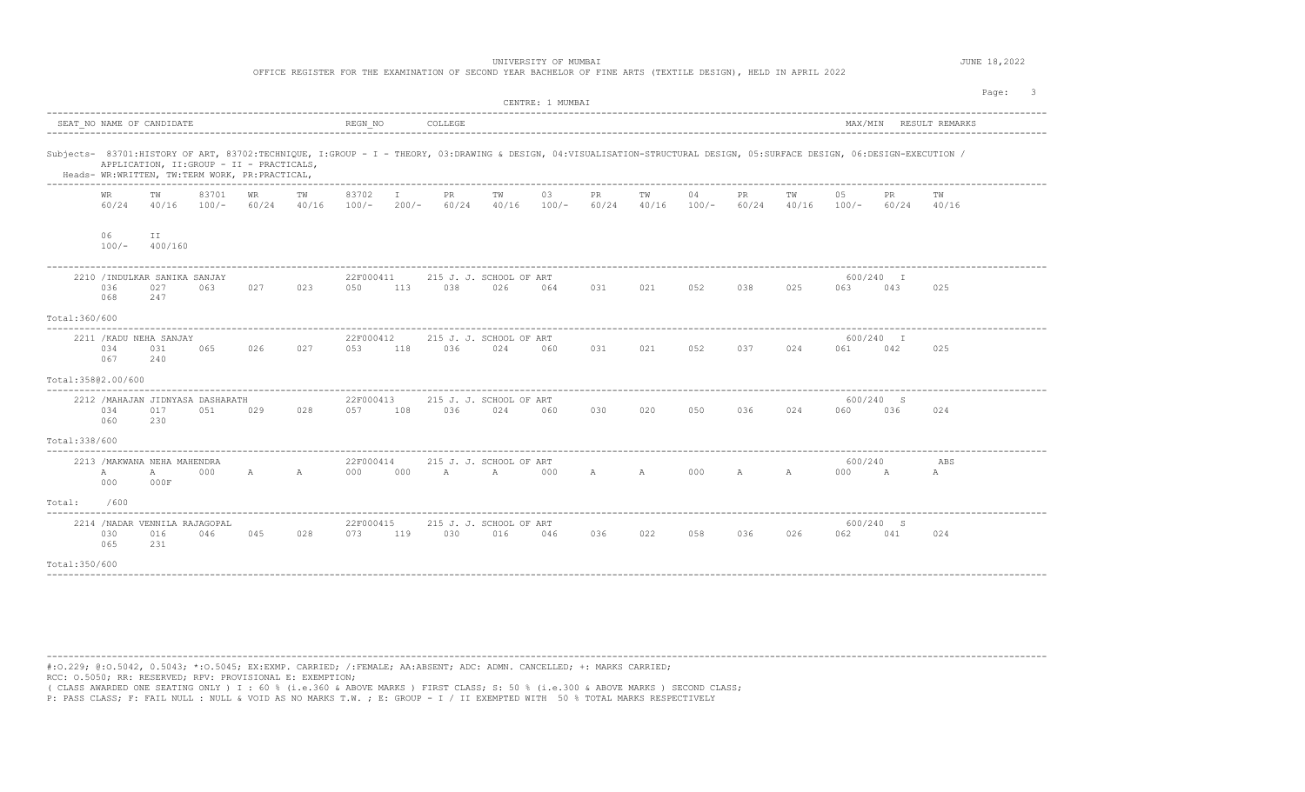| UNIVERSITY OF MUMBAI<br>OFFICE REGISTER FOR THE EXAMINATION OF SECOND YEAR BACHELOR OF FINE ARTS (TEXTILE DESIGN), HELD IN APRIL 2022 |                                                                                                                                                                                                                                                                                    |                     |       |    |                 |                          |  |         |                                                                                                             |                  |                     |     |    |         | JUNE 18,2022 |                      |                  |          |         |  |
|---------------------------------------------------------------------------------------------------------------------------------------|------------------------------------------------------------------------------------------------------------------------------------------------------------------------------------------------------------------------------------------------------------------------------------|---------------------|-------|----|-----------------|--------------------------|--|---------|-------------------------------------------------------------------------------------------------------------|------------------|---------------------|-----|----|---------|--------------|----------------------|------------------|----------|---------|--|
|                                                                                                                                       |                                                                                                                                                                                                                                                                                    |                     |       |    |                 |                          |  |         |                                                                                                             | CENTRE: 1 MUMBAI |                     |     |    |         |              |                      |                  |          | Page: 3 |  |
|                                                                                                                                       |                                                                                                                                                                                                                                                                                    |                     |       |    |                 |                          |  |         |                                                                                                             |                  |                     |     |    |         |              |                      |                  |          |         |  |
|                                                                                                                                       | Subjects- 83701:HISTORY OF ART, 83702:TECHNIQUE, I:GROUP - I - THEORY, 03:DRAWING & DESIGN, 04:VISUALISATION-STRUCTURAL DESIGN, 05:SURFACE DESIGN, 06:DESIGN-EXECUTION /<br>APPLICATION, II: GROUP - II - PRACTICALS,<br>Heads- WR:WRITTEN, TW:TERM WORK, PR:PRACTICAL,<br>83702 I |                     |       |    |                 |                          |  |         |                                                                                                             |                  |                     |     |    |         |              |                      |                  |          |         |  |
|                                                                                                                                       | WR.<br>60/24                                                                                                                                                                                                                                                                       | TW                  | 83701 | WR | TW              |                          |  | PR .    | TW<br>40/16 100/- 60/24 40/16 100/- 200/- 60/24 40/16 100/- 60/24 40/16 100/- 60/24 40/16 100/- 60/24 40/16 | 03               | PR                  | TW  | 04 | PR      | TW           | 0.5                  | PR.              | TW       |         |  |
|                                                                                                                                       | 06<br>$100/-$                                                                                                                                                                                                                                                                      | II<br>400/160       |       |    |                 |                          |  |         |                                                                                                             |                  |                     |     |    |         |              |                      |                  |          |         |  |
|                                                                                                                                       | 2210 / INDULKAR SANIKA SANJAY<br>036<br>068                                                                                                                                                                                                                                        | 027<br>247          | 063   |    | 027 023         | 22F000411<br>050 113 038 |  |         | 215 J. J. SCHOOL OF ART<br>026                                                                              | 064              | 031 021 052 038 025 |     |    |         |              | 063                  | 600/240 I<br>043 | 025      |         |  |
| Total:360/600                                                                                                                         |                                                                                                                                                                                                                                                                                    |                     |       |    |                 |                          |  |         |                                                                                                             |                  |                     |     |    |         |              |                      |                  |          |         |  |
|                                                                                                                                       | 2211 / KADU NEHA SANJAY<br>034<br>067                                                                                                                                                                                                                                              | 031<br>240          | 065   |    | 026 027         | 22F000412                |  |         | 215 J. J. SCHOOL OF ART<br>053 118 036 024 060                                                              |                  | 031                 | 021 |    | 052 037 | 024          | 061 042              | 600/240 I        | 025      |         |  |
|                                                                                                                                       | Total:358@2.00/600                                                                                                                                                                                                                                                                 |                     |       |    |                 |                          |  |         |                                                                                                             |                  |                     |     |    |         |              |                      |                  |          |         |  |
|                                                                                                                                       | 2212 / MAHAJAN JIDNYASA DASHARATH<br>034<br>060                                                                                                                                                                                                                                    | 017<br>230          | 051   |    | 029 028 057 108 | 22F000413                |  | 036 024 | 215 J. J. SCHOOL OF ART                                                                                     | 060              | 030 020 050 036 024 |     |    |         |              | 060                  | 600/240 S<br>036 | 024      |         |  |
| Total: 338/600                                                                                                                        |                                                                                                                                                                                                                                                                                    |                     |       |    |                 |                          |  |         |                                                                                                             |                  |                     |     |    |         |              |                      |                  |          |         |  |
|                                                                                                                                       | 2213 / MAKWANA NEHA MAHENDRA<br>$\mathbb A$<br>000                                                                                                                                                                                                                                 | $\mathbb A$<br>000F | 000   |    |                 | 22F000414                |  |         | 215 J. J. SCHOOL OF ART<br>A A 000 000 A A 000 A A 000 A A A                                                |                  |                     |     |    |         |              | 600/240<br>000 A     |                  | ABS<br>A |         |  |
| Total: /600                                                                                                                           |                                                                                                                                                                                                                                                                                    |                     |       |    |                 |                          |  |         |                                                                                                             |                  |                     |     |    |         |              |                      |                  |          |         |  |
|                                                                                                                                       | 2214 / NADAR VENNILA RAJAGOPAL<br>030<br>065                                                                                                                                                                                                                                       | 016<br>231          |       |    |                 | 22F000415                |  |         | 215 J. J. SCHOOL OF ART<br>046 045 028 073 119 030 016 046 036 022 058 036 026                              |                  |                     |     |    |         |              | 600/240 S<br>062 041 |                  | 024      |         |  |
| Total: 350/600                                                                                                                        |                                                                                                                                                                                                                                                                                    |                     |       |    |                 |                          |  |         |                                                                                                             |                  |                     |     |    |         |              |                      |                  |          |         |  |
|                                                                                                                                       |                                                                                                                                                                                                                                                                                    |                     |       |    |                 |                          |  |         |                                                                                                             |                  |                     |     |    |         |              |                      |                  |          |         |  |

---------------------------------------------------------------------------------------------------------------------------------------------------------------------------------------- #:O.229; @:O.5042, 0.5043; \*:O.5045; EX:EXMP. CARRIED; /:FEMALE; AA:ABSENT; ADC: ADMN. CANCELLED; +: MARKS CARRIED; RCC: O.5050; RR: RESERVED; RPV: PROVISIONAL E: EXEMPTION;

( CLASS AWARDED ONE SEATING ONLY ) I : 60 % (i.e.360 & ABOVE MARKS ) FIRST CLASS; S: 50 % (i.e.300 & ABOVE MARKS ) SECOND CLASS;<br>P: PASS CLASS; F: FAIL NULL : NULL & VOID AS NO MARKS T.W. ; E: GROUP - I / II EXEMPTED WITH